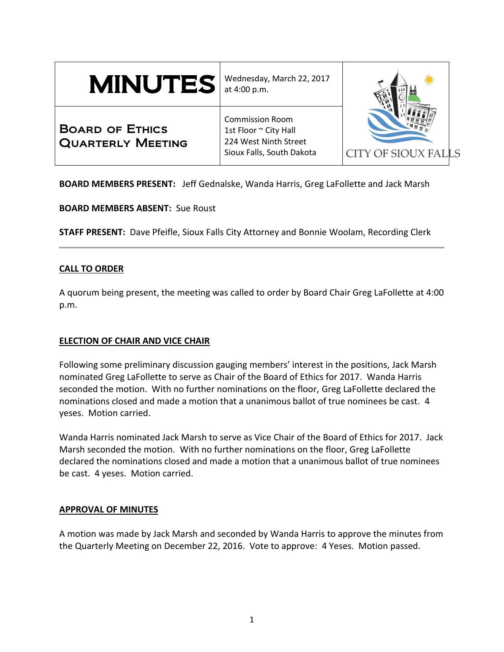# MINUTES

Wednesday, March 22, 2017 at 4:00 p.m.

Board of Ethics Quarterly Meeting

Commission Room 1st Floor ~ City Hall 224 West Ninth Street Sioux Falls, South Dakota



**BOARD MEMBERS PRESENT:** Jeff Gednalske, Wanda Harris, Greg LaFollette and Jack Marsh

**BOARD MEMBERS ABSENT:** Sue Roust

**STAFF PRESENT:** Dave Pfeifle, Sioux Falls City Attorney and Bonnie Woolam, Recording Clerk

## **CALL TO ORDER**

A quorum being present, the meeting was called to order by Board Chair Greg LaFollette at 4:00 p.m.

## **ELECTION OF CHAIR AND VICE CHAIR**

Following some preliminary discussion gauging members' interest in the positions, Jack Marsh nominated Greg LaFollette to serve as Chair of the Board of Ethics for 2017. Wanda Harris seconded the motion. With no further nominations on the floor, Greg LaFollette declared the nominations closed and made a motion that a unanimous ballot of true nominees be cast. 4 yeses. Motion carried.

Wanda Harris nominated Jack Marsh to serve as Vice Chair of the Board of Ethics for 2017. Jack Marsh seconded the motion. With no further nominations on the floor, Greg LaFollette declared the nominations closed and made a motion that a unanimous ballot of true nominees be cast. 4 yeses. Motion carried.

## **APPROVAL OF MINUTES**

A motion was made by Jack Marsh and seconded by Wanda Harris to approve the minutes from the Quarterly Meeting on December 22, 2016. Vote to approve: 4 Yeses. Motion passed.